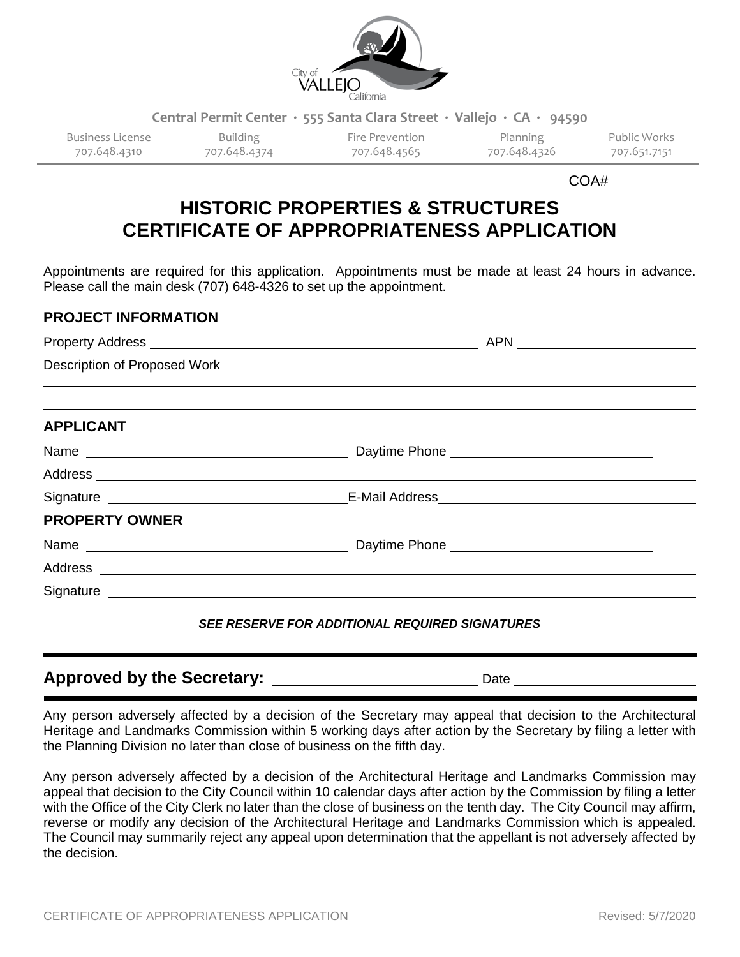

**Central Permit Center ∙ 555 Santa Clara Street ∙ Vallejo ∙ CA ∙ 94590**

707.648.4310 707.648.4374 707.648.4565 707.648.4326 707.651.7151

Business License Building Fire Prevention Planning Public Works

COA#

# **HISTORIC PROPERTIES & STRUCTURES CERTIFICATE OF APPROPRIATENESS APPLICATION**

Appointments are required for this application. Appointments must be made at least 24 hours in advance. Please call the main desk (707) 648-4326 to set up the appointment.

#### **PROJECT INFORMATION**

| Description of Proposed Work | <u>,这就是一个人的人,我们就是一个人的人,我们就是一个人的人,我们就是一个人的人,我们就是一个人的人,我们就是一个人的人,我们就是一个人的人,我们就是</u> 不是一个人的 |  |
|------------------------------|------------------------------------------------------------------------------------------|--|
|                              |                                                                                          |  |
| <b>APPLICANT</b>             |                                                                                          |  |
|                              |                                                                                          |  |
|                              |                                                                                          |  |
|                              |                                                                                          |  |
| <b>PROPERTY OWNER</b>        |                                                                                          |  |
|                              |                                                                                          |  |
|                              |                                                                                          |  |
|                              |                                                                                          |  |
|                              | CEE DECEDUE FOD ADDITIONAL DEQUIDED CIONATUDEC                                           |  |

### *SEE RESERVE FOR ADDITIONAL REQUIRED SIGNATURES*

# **Approved by the Secretary:** Date Date

Any person adversely affected by a decision of the Secretary may appeal that decision to the Architectural Heritage and Landmarks Commission within 5 working days after action by the Secretary by filing a letter with the Planning Division no later than close of business on the fifth day.

Any person adversely affected by a decision of the Architectural Heritage and Landmarks Commission may appeal that decision to the City Council within 10 calendar days after action by the Commission by filing a letter with the Office of the City Clerk no later than the close of business on the tenth day. The City Council may affirm, reverse or modify any decision of the Architectural Heritage and Landmarks Commission which is appealed. The Council may summarily reject any appeal upon determination that the appellant is not adversely affected by the decision.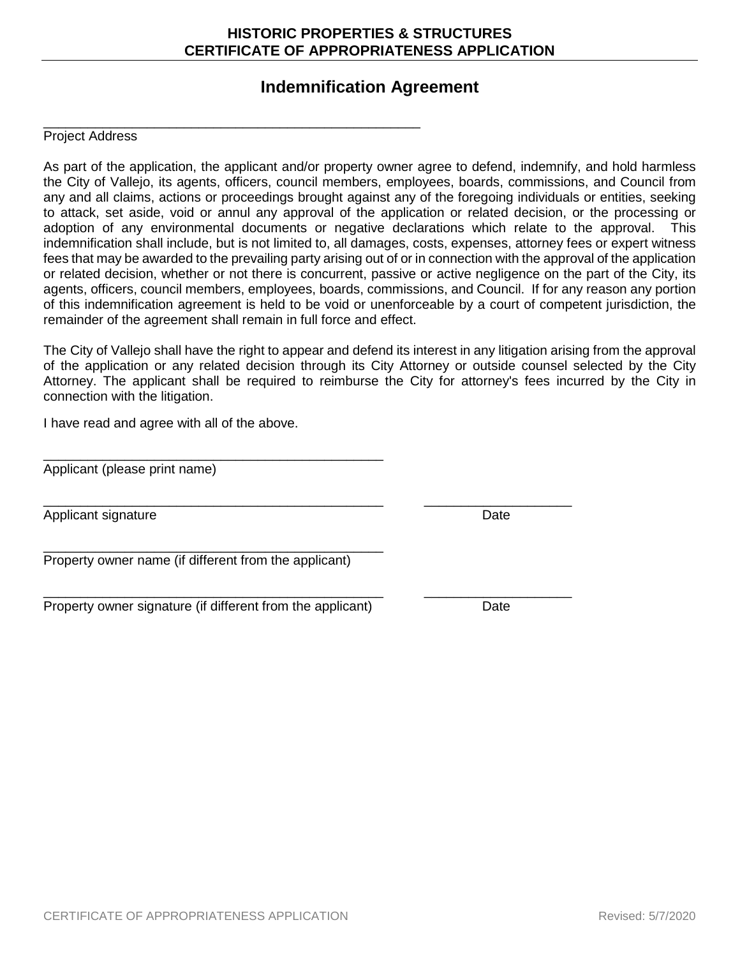# Applicant (please print name)

\_\_\_\_\_\_\_\_\_\_\_\_\_\_\_\_\_\_\_\_\_\_\_\_\_\_\_\_\_\_\_\_\_\_\_\_\_\_\_\_\_\_\_\_\_\_\_\_\_\_\_

Applicant signature **Date** 

Property owner name (if different from the applicant)

Property owner signature (if different from the applicant) Date

\_\_\_\_\_\_\_\_\_\_\_\_\_\_\_\_\_\_\_\_\_\_\_\_\_\_\_\_\_\_\_\_\_\_\_\_\_\_\_\_\_\_\_\_\_\_

\_\_\_\_\_\_\_\_\_\_\_\_\_\_\_\_\_\_\_\_\_\_\_\_\_\_\_\_\_\_\_\_\_\_\_\_\_\_\_\_\_\_\_\_\_\_

CERTIFICATE OF APPROPRIATENESS APPLICATION Revised: 5/7/2020

## **Indemnification Agreement**

#### Project Address

As part of the application, the applicant and/or property owner agree to defend, indemnify, and hold harmless the City of Vallejo, its agents, officers, council members, employees, boards, commissions, and Council from any and all claims, actions or proceedings brought against any of the foregoing individuals or entities, seeking to attack, set aside, void or annul any approval of the application or related decision, or the processing or adoption of any environmental documents or negative declarations which relate to the approval. This indemnification shall include, but is not limited to, all damages, costs, expenses, attorney fees or expert witness fees that may be awarded to the prevailing party arising out of or in connection with the approval of the application or related decision, whether or not there is concurrent, passive or active negligence on the part of the City, its agents, officers, council members, employees, boards, commissions, and Council. If for any reason any portion of this indemnification agreement is held to be void or unenforceable by a court of competent jurisdiction, the remainder of the agreement shall remain in full force and effect.

The City of Vallejo shall have the right to appear and defend its interest in any litigation arising from the approval of the application or any related decision through its City Attorney or outside counsel selected by the City Attorney. The applicant shall be required to reimburse the City for attorney's fees incurred by the City in connection with the litigation.

I have read and agree with all of the above.

\_\_\_\_\_\_\_\_\_\_\_\_\_\_\_\_\_\_\_\_\_\_\_\_\_\_\_\_\_\_\_\_\_\_\_\_\_\_\_\_\_\_\_\_\_\_ \_\_\_\_\_\_\_\_\_\_\_\_\_\_\_\_\_\_\_\_

\_\_\_\_\_\_\_\_\_\_\_\_\_\_\_\_\_\_\_\_\_\_\_\_\_\_\_\_\_\_\_\_\_\_\_\_\_\_\_\_\_\_\_\_\_\_ \_\_\_\_\_\_\_\_\_\_\_\_\_\_\_\_\_\_\_\_